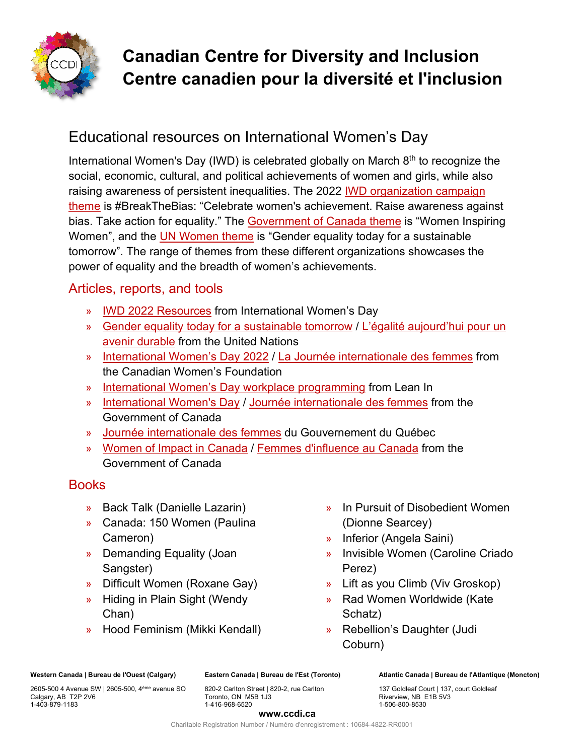

# **Canadian Centre for Diversity and Inclusion Centre canadien pour la diversité et l'inclusion**

## Educational resources on International Women's Day

International Women's Day (IWD) is celebrated globally on March  $8<sup>th</sup>$  to recognize the social, economic, cultural, and political achievements of women and girls, while also raising awareness of persistent inequalities. The 2022 [IWD organization campaign](https://www.internationalwomensday.com/Theme)  [theme](https://www.internationalwomensday.com/Theme) is #BreakTheBias: "Celebrate women's achievement. Raise awareness against bias. Take action for equality." The [Government of Canada theme](https://women-gender-equality.canada.ca/en/commemorations-celebrations/international-womens-day/2022-theme.html) is "Women Inspiring Women", and the [UN Women theme](https://www.unwomen.org/en/news-stories/announcement/2021/12/international-womens-day-2022-gender-equality-today-for-a-sustainable-tomorrow) is "Gender equality today for a sustainable tomorrow". The range of themes from these different organizations showcases the power of equality and the breadth of women's achievements.

### Articles, reports, and tools

- » [IWD 2022 Resources](https://www.internationalwomensday.com/Resources) from International Women's Day
- » [Gender equality today for a sustainable tomorrow](https://www.un.org/en/observances/womens-day) / [L'égalité aujourd'hui pour un](https://www.un.org/fr/observances/womens-day)  [avenir durable](https://www.un.org/fr/observances/womens-day) from the United Nations
- » [International Women's Day 2022](https://canadianwomen.org/international-womens-day-2022/) / [La Journée internationale des femmes](https://canadianwomen.org/fr/la-journee-internationale-des-femmes-2022/) from the Canadian Women's Foundation
- » [International Women's Day workplace programming](https://leanin.org/iwd) from Lean In
- » [International Women's Day](https://women-gender-equality.canada.ca/en/commemorations-celebrations/international-womens-day.html) / [Journée internationale des femmes](https://femmes-egalite-genres.canada.ca/fr/commemorations-celebrations/journee-internationale-femmes.html) from the Government of Canada
- » [Journée internationale des femmes](https://csf.gouv.qc.ca/egalite-et-societe/8-mars-journee-internationale-des-femmes/) du Gouvernement du Québec
- » [Women of Impact in Canada](https://women-gender-equality.canada.ca/en/commemorations-celebrations/women-impact.html) / [Femmes d'influence au Canada](https://femmes-egalite-genres.canada.ca/fr/commemorations-celebrations/femmes-influence.html) from the Government of Canada

### **Books**

- » Back Talk (Danielle Lazarin)
- » Canada: 150 Women (Paulina Cameron)
- » Demanding Equality (Joan Sangster)
- » Difficult Women (Roxane Gay)
- » Hiding in Plain Sight (Wendy Chan)
- » Hood Feminism (Mikki Kendall)
- » In Pursuit of Disobedient Women (Dionne Searcey)
- » Inferior (Angela Saini)
- » Invisible Women (Caroline Criado Perez)
- » Lift as you Climb (Viv Groskop)
- » Rad Women Worldwide (Kate Schatz)
- » Rebellion's Daughter (Judi Coburn)

**Western Canada | Bureau de l'Ouest (Calgary)**

2605-500 4 Avenue SW | 2605-500, 4ème avenue SO Calgary, AB T2P 2V6 1-403-879-1183

**Eastern Canada | Bureau de l'Est (Toronto)** 820-2 Carlton Street | 820-2, rue Carlton Toronto, ON M5B 1J3

1-416-968-6520

**Atlantic Canada | Bureau de l'Atlantique (Moncton)** 

137 Goldleaf Court | 137, court Goldleaf Riverview, NB E1B 5V3 1-506-800-8530

#### **www.ccdi.ca**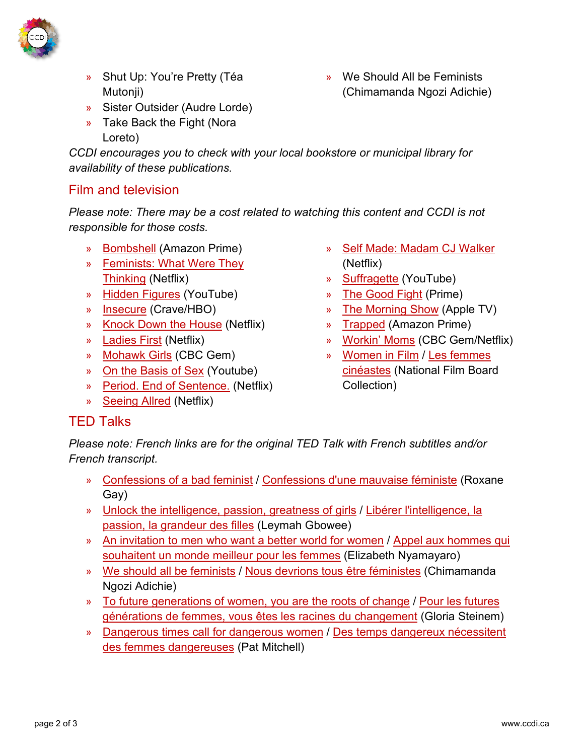

- » Shut Up: You're Pretty (Téa Mutonji)
- » Sister Outsider (Audre Lorde)
- » Take Back the Fight (Nora Loreto)

*CCDI encourages you to check with your local bookstore or municipal library for availability of these publications.*

### Film and television

*Please note: There may be a cost related to watching this content and CCDI is not responsible for those costs.*

- » [Bombshell](https://www.primevideo.com/detail/0TAE5O1SFY0AJX5GA1PJWDALDM/ref=atv_sr_def_c_unkc__1_1_1?sr=1-1&pageTypeIdSource=ASIN&pageTypeId=B086VQS7FT&qid=1613509136) (Amazon Prime)
- » [Feminists: What Were They](https://www.netflix.com/ca/title/80216844)  [Thinking](https://www.netflix.com/ca/title/80216844) (Netflix)
- » [Hidden Figures](https://www.youtube.com/watch?v=3w5c2EkveeY&ab_channel=YouTubeMovies) (YouTube)
- » [Insecure](https://www.crave.ca/en/tv-shows/insecure) (Crave/HBO)
- » [Knock Down the House](https://www.netflix.com/ca/title/81080637) (Netflix)
- » [Ladies First](https://www.netflix.com/ca/title/80219143) (Netflix)
- » [Mohawk Girls](https://gem.cbc.ca/season/mohawk-girls/season-1/5769ca7f-33cd-4575-ad05-f26b7f9050dd) (CBC Gem)
- » [On the Basis of Sex](https://www.youtube.com/watch?v=oqA44q1xVYA) (Youtube)
- » [Period. End of Sentence.](https://www.netflix.com/ca/title/81074663) (Netflix)
- » [Seeing Allred](https://www.netflix.com/ca/title/80174367) (Netflix)
- » [Self Made: Madam CJ Walker](https://www.netflix.com/ca/title/80202462) (Netflix)
- » [Suffragette](https://www.youtube.com/watch?v=7WgrqnSnsWQ&ab_channel=YouTubeMovies) (YouTube)
- » [The Good Fight](https://www.amazon.com/Inauguration/dp/B075DHY17H/ref=sr_1_1?crid=4KOCEVIPDFB8&dchild=1&keywords=the+good+fight&qid=1613509022&s=instant-video&sprefix=the+good+fi%2Cinstant-video%2C184&sr=1-1) (Prime)
- » [The Morning Show](https://tv.apple.com/ca/show/the-morning-show/umc.cmc.25tn3v8ku4b39tr6ccgb8nl6m?ctx_brand=tvs.sbd.4000&l=en) (Apple TV)
- » [Trapped](https://www.amazon.com/Trapped-Dawn-Porter/dp/B01LY6ISNT) (Amazon Prime)
- » [Workin' Moms](https://www.netflix.com/ca/title/80198991) (CBC Gem/Netflix)
- » [Women in Film](https://www.nfb.ca/channels/international_womens_day_site/) / [Les femmes](https://www.onf.ca/chaines/journee_internationale_de_la_femme_site/)  [cinéastes](https://www.onf.ca/chaines/journee_internationale_de_la_femme_site/) (National Film Board Collection)

### TED Talks

*Please note: French links are for the original TED Talk with French subtitles and/or French transcript.*

- » [Confessions of a bad feminist](https://www.ted.com/talks/roxane_gay_confessions_of_a_bad_feminist) / [Confessions d'une mauvaise féministe](https://www.ted.com/talks/roxane_gay_confessions_of_a_bad_feminist/up-next?language=fr) (Roxane Gay)
- » [Unlock the intelligence, passion, greatness of girls](https://www.ted.com/talks/leymah_gbowee_unlock_the_intelligence_passion_greatness_of_girls) / [Libérer l'intelligence, la](https://www.ted.com/talks/leymah_gbowee_unlock_the_intelligence_passion_greatness_of_girls/up-next?language=fr)  [passion, la grandeur des filles](https://www.ted.com/talks/leymah_gbowee_unlock_the_intelligence_passion_greatness_of_girls/up-next?language=fr) (Leymah Gbowee)
- » [An invitation to men who want a better world for women](https://www.ted.com/talks/elizabeth_nyamayaro_an_invitation_to_men_who_want_a_better_world_for_women) / [Appel aux hommes qui](https://www.ted.com/talks/elizabeth_nyamayaro_an_invitation_to_men_who_want_a_better_world_for_women/up-next?language=fr)  [souhaitent un monde meilleur pour les femmes](https://www.ted.com/talks/elizabeth_nyamayaro_an_invitation_to_men_who_want_a_better_world_for_women/up-next?language=fr) (Elizabeth Nyamayaro)
- » [We should all be feminists](https://www.ted.com/talks/chimamanda_ngozi_adichie_we_should_all_be_feminists) / [Nous devrions tous être féministes](https://www.ted.com/talks/chimamanda_ngozi_adichie_we_should_all_be_feminists/up-next?language=fr) (Chimamanda Ngozi Adichie)
- » [To future generations of women, you are the roots of change](https://www.ted.com/talks/gloria_steinem_to_future_generations_of_women_you_are_the_roots_of_change) / [Pour les futures](https://www.ted.com/talks/gloria_steinem_to_future_generations_of_women_you_are_the_roots_of_change/up-next?language=fr)  [générations de femmes, vous êtes les racines du changement](https://www.ted.com/talks/gloria_steinem_to_future_generations_of_women_you_are_the_roots_of_change/up-next?language=fr) (Gloria Steinem)
- » [Dangerous times call for dangerous women](https://www.ted.com/talks/pat_mitchell_dangerous_times_call_for_dangerous_women) / [Des temps dangereux nécessitent](https://www.ted.com/talks/pat_mitchell_dangerous_times_call_for_dangerous_women/up-next?language=fr)  [des femmes dangereuses](https://www.ted.com/talks/pat_mitchell_dangerous_times_call_for_dangerous_women/up-next?language=fr) (Pat Mitchell)

» We Should All be Feminists (Chimamanda Ngozi Adichie)